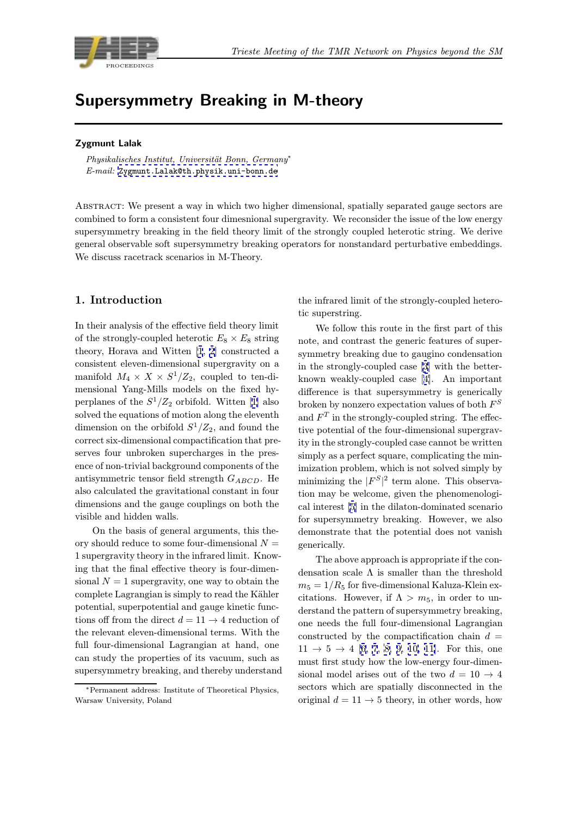

# $S_{\text{S}}$  are  $S_{\text{S}}$  and  $S_{\text{S}}$  in  $S_{\text{S}}$  in  $S_{\text{S}}$  and  $S_{\text{S}}$  in  $S_{\text{S}}$  and  $S_{\text{S}}$

### Zygmunt Lalak

Physikalisches Institut, Universität Bonn, Germany<sup>∗</sup> E-mail: Zygmunt.Lalak@th.physik.uni-bonn.de

Abstract: We present a way in which two higher dimensional, spatially separated gauge sectors are combined [to form a consistent four dimesnional s](mailto:Zygmunt.Lalak@th.physik.uni-bonn.de)upergravity. We reconsider the issue of the low energy supersymmetry breaking in the field theory limit of the strongly coupled heterotic string. We derive general observable soft supersymmetry breaking operators for nonstandard perturbative embeddings. We discuss racetrack scenarios in M-Theory.

## 1. Introduction

In their analysis of the effective field theory limit of the strongly-coupled heterotic  $E_8 \times E_8$  string theory, Horava and Witten [1, 2] constructed a consistent eleven-dimensional supergravity on a manifold  $M_4 \times X \times S^1/Z_2$ , coupled to ten-dimensional Yang-Mills models on the fixed hyperplanes of the  $S^1/Z_2$  orbif[ol](#page-7-0)d[.](#page-7-0) Witten [1] also solved the equations of motion along the eleventh dimension on the orbifold  $S^1/Z_2$ , and found the correct six-dimensional compactification that preserves four unbroken supercharges in th[e](#page-7-0) presence of non-trivial background components of the antisymmetric tensor field strength  $G_{ABCD}$ . He also calculated the gravitational constant in four dimensions and the gauge couplings on both the visible and hidden walls.

On the basis of general arguments, this theory should reduce to some four-dimensional  $N =$ 1 supergravity theory in the infrared limit. Knowing that the final effective theory is four-dimensional  $N = 1$  supergravity, one way to obtain the complete Lagrangian is simply to read the Kähler potential, superpotential and gauge kinetic functions off from the direct  $d = 11 \rightarrow 4$  reduction of the relevant eleven-dimensional terms. With the full four-dimensional Lagrangian at hand, one can study the properties of its vacuum, such as supersymmetry breaking, and thereby understand the infrared limit of the strongly-coupled heterotic superstring.

We follow this route in the first part of this note, and contrast the generic features of supersymmetry breaking due to gaugino condensation in the strongly-coupled case [3] with the betterknown weakly-coupled case [4]. An important difference is that supersymmetry is generically broken by nonzero expectation values of both  $F^S$ and  $F<sup>T</sup>$  in the strongly-coupl[ed](#page-7-0) string. The effective potential of the four-dim[en](#page-7-0)sional supergravity in the strongly-coupled case cannot be written simply as a perfect square, complicating the minimization problem, which is not solved simply by minimizing the  $|F^S|^2$  term alone. This observation may be welcome, given the phenomenological interest [5] in the dilaton-dominated scenario for supersymmetry breaking. However, we also demonstrate that the potential does not vanish generically.

The abo[ve](#page-7-0) approach is appropriate if the condensation scale  $\Lambda$  is smaller than the threshold  $m_5 = 1/R_5$  for five-dimensional Kaluza-Klein excitations. However, if  $\Lambda > m_5$ , in order to understand the pattern of supersymmetry breaking, one needs the full four-dimensional Lagrangian constructed by the compactification chain  $d =$  $11 \rightarrow 5 \rightarrow 4$  [6, 7, 8, 9, 10, 11]. For this, one must first study how the low-energy four-dimensional model arises out of the two  $d = 10 \rightarrow 4$ sectors which are spatially disconnected in the original  $d = 11 \rightarrow 5$  [theo](#page-7-0)r[y, in ot](#page-7-0)her words, how

<sup>∗</sup>Permanent address: Institute of Theoretical Physics, Warsaw University, Poland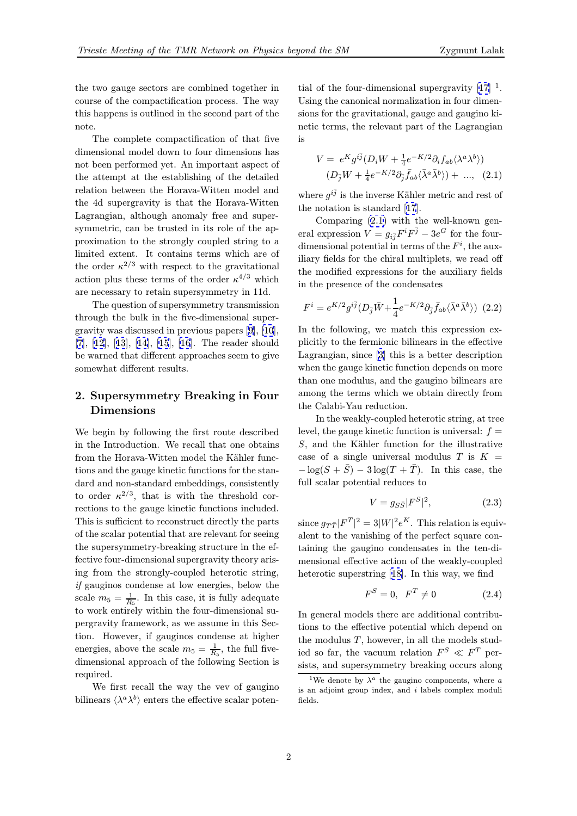<span id="page-1-0"></span>the two gauge sectors are combined together in course of the compactification process. The way this happens is outlined in the second part of the note.

The complete compactification of that five dimensional model down to four dimensions has not been performed yet. An important aspect of the attempt at the establishing of the detailed relation between the Horava-Witten model and the 4d supergravity is that the Horava-Witten Lagrangian, although anomaly free and supersymmetric, can be trusted in its role of the approximation to the strongly coupled string to a limited extent. It contains terms which are of the order  $\kappa^{2/3}$  with respect to the gravitational action plus these terms of the order  $\kappa^{4/3}$  which are necessary to retain supersymmetry in 11d.

The question of supersymmetry transmission through the bulk in the five-dimensional supergravity was discussed in previous papers [9], [10], [7], [12], [13], [14], [15], [16]. The reader should be warned that different approaches seem to give somewhat different results.

# [2.](#page-7-0) [Su](#page-7-0)p[ers](#page-7-0)y[mmetry](#page-7-0) [B](#page-7-0)reaking in Four Dimensions

We begin by following the first route described in the Introduction. We recall that one obtains from the Horava-Witten model the Kähler functions and the gauge kinetic functions for the standard and non-standard embeddings, consistently to order  $\kappa^{2/3}$ , that is with the threshold corrections to the gauge kinetic functions included. This is sufficient to reconstruct directly the parts of the scalar potential that are relevant for seeing the supersymmetry-breaking structure in the effective four-dimensional supergravity theory arising from the strongly-coupled heterotic string, if gauginos condense at low energies, below the scale  $m_5 = \frac{1}{R_5}$ . In this case, it is fully adequate to work entirely within the four-dimensional supergravity framework, as we assume in this Section. However, if gauginos condense at higher energies, above the scale  $m_5 = \frac{1}{R_5}$ , the full fivedimensional approach of the following Section is required.

We first recall the way the vev of gaugino bilinears  $\langle \lambda^a \lambda^b \rangle$  enters the effective scalar poten-

tial of the four-dimensional supergravity  $[17]$ <sup>1</sup>. Using the canonical normalization in four dimensions for the gravitational, gauge and gaugino kinetic terms, the relevant part of the Lagr[ang](#page-7-0)ian is

$$
V = e^{K} g^{i\bar{j}} (D_i W + \frac{1}{4} e^{-K/2} \partial_i f_{ab} \langle \lambda^a \lambda^b \rangle)
$$
  

$$
(D_{\bar{j}} W + \frac{1}{4} e^{-K/2} \partial_{\bar{j}} \bar{f}_{ab} \langle \bar{\lambda}^a \bar{\lambda}^b \rangle) + ...,
$$
 (2.1)

where  $q^{i\bar{j}}$  is the inverse Kähler metric and rest of the notation is standard [17].

Comparing (2.1) with the well-known general expression  $V = g_{i\bar{j}} F^i F^{\bar{j}} - 3e^G$  for the fourdimensional potential in terms of the  $F<sup>i</sup>$ , the auxiliary fields for the chiral [mu](#page-7-0)ltiplets, we read off the modified expressions for the auxiliary fields in the presence of the condensates

$$
F^i = e^{K/2} g^{i\bar{j}} (D_{\bar{j}} \bar{W} + \frac{1}{4} e^{-K/2} \partial_{\bar{j}} \bar{f}_{ab} \langle \bar{\lambda}^a \bar{\lambda}^b \rangle) \tag{2.2}
$$

In the following, we match this expression explicitly to the fermionic bilinears in the effective Lagrangian, since [3] this is a better description when the gauge kinetic function depends on more than one modulus, and the gaugino bilinears are among the terms which we obtain directly from the Calabi-Yau re[du](#page-7-0)ction.

In the weakly-coupled heterotic string, at tree level, the gauge kinetic function is universal:  $f =$  $S$ , and the Kähler function for the illustrative case of a single universal modulus  $T$  is  $K =$  $-\log(S + \bar{S}) - 3\log(T + \bar{T})$ . In this case, the full scalar potential reduces to

$$
V = g_{S\bar{S}} |F^S|^2, \tag{2.3}
$$

since  $g_{T\bar{T}}|F^{T}|^{2}=3|W|^{2}e^{K}$ . This relation is equivalent to the vanishing of the perfect square containing the gaugino condensates in the ten-dimensional effective action of the weakly-coupled heterotic superstring [18]. In this way, we find

$$
F^S = 0, \quad F^T \neq 0 \tag{2.4}
$$

In general models there are additional contributions to the effective [pot](#page-7-0)ential which depend on the modulus  $T$ , however, in all the models studied so far, the vacuum relation  $F^S \ll F^T$  persists, and supersymmetry breaking occurs along

<sup>&</sup>lt;sup>1</sup>We denote by  $\lambda^a$  the gaugino components, where a is an adjoint group index, and  $i$  labels complex moduli fields.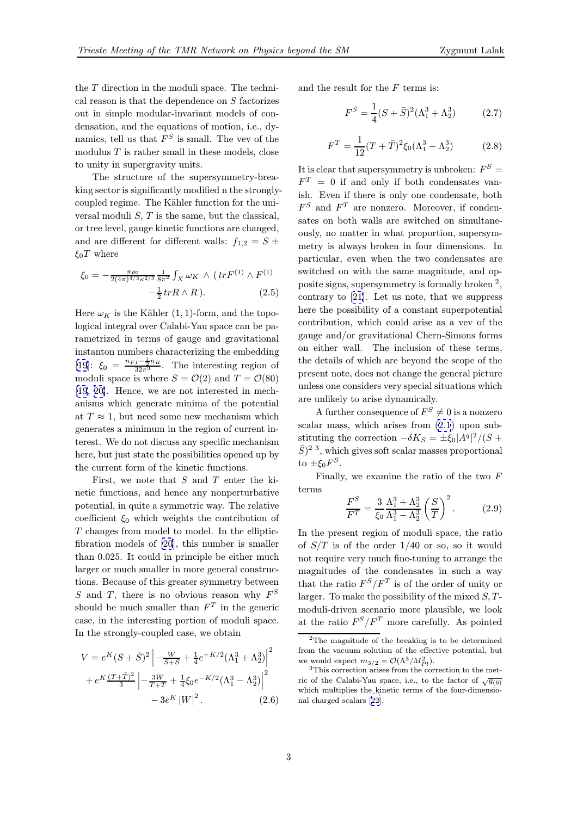the T direction in the moduli space. The technical reason is that the dependence on  $S$  factorizes out in simple modular-invariant models of condensation, and the equations of motion, i.e., dynamics, tell us that  $F^S$  is small. The vev of the modulus  $T$  is rather small in these models, close to unity in supergravity units.

The structure of the supersymmetry-breaking sector is significantly modified n the stronglycoupled regime. The Kähler function for the universal moduli  $S$ ,  $T$  is the same, but the classical, or tree level, gauge kinetic functions are changed, and are different for different walls:  $f_{1,2} = S \pm$  $\xi_0 T$  where

$$
\xi_0 = -\frac{\pi \rho_0}{2(4\pi)^{4/3} \kappa^{2/3}} \frac{1}{8\pi^2} \int_X \omega_K \wedge (tr F^{(1)} \wedge F^{(1)} -\frac{1}{2} tr R \wedge R). \tag{2.5}
$$

Here  $\omega_K$  is the Kähler (1, 1)-form, and the topological integral over Calabi-Yau space can be parametrized in terms of gauge and gravitational instanton numbers characterizing the embedding [19]:  $\xi_0 = \frac{n_{F1} - \frac{1}{2}n_R}{32\pi^3}$ . The interesting region of moduli space is where  $S = \mathcal{O}(2)$  and  $T = \mathcal{O}(80)$ [19, 20]. Hence, we are not interested in mechanisms which generate minima of the potential [at](#page-7-0)  $T \approx 1$ , but need some new mechanism which generates a minimum in the region of current in[terest.](#page-7-0) We do not discuss any specific mechanism here, but just state the possibilities opened up by the current form of the kinetic functions.

First, we note that S and T enter the kinetic functions, and hence any nonperturbative potential, in quite a symmetric way. The relative coefficient  $\xi_0$  which weights the contribution of T changes from model to model. In the ellipticfibration models of [20], this number is smaller than 0.025. It could in principle be either much larger or much smaller in more general constructions. Because of this greater symmetry between S and T, there is [no](#page-7-0) obvious reason why  $F^S$ should be much smaller than  $F<sup>T</sup>$  in the generic case, in the interesting portion of moduli space. In the strongly-coupled case, we obtain

$$
V = e^{K}(S + \bar{S})^{2} \left| -\frac{W}{S + \bar{S}} + \frac{1}{4}e^{-K/2}(\Lambda_{1}^{3} + \Lambda_{2}^{3}) \right|^{2} + e^{K} \frac{(T + \bar{T})^{2}}{3} \left| -\frac{3W}{T + \bar{T}} + \frac{1}{4}\xi_{0}e^{-K/2}(\Lambda_{1}^{3} - \Lambda_{2}^{3}) \right|^{2} - 3e^{K} |W|^{2}. \tag{2.6}
$$

and the result for the  $F$  terms is:

$$
F^{S} = \frac{1}{4}(S+\bar{S})^{2}(\Lambda_{1}^{3}+\Lambda_{2}^{3})
$$
 (2.7)

$$
F^{T} = \frac{1}{12}(T+\bar{T})^{2}\xi_{0}(\Lambda_{1}^{3} - \Lambda_{2}^{3})
$$
 (2.8)

It is clear that supersymmetry is unbroken:  $F^S =$  $F<sup>T</sup> = 0$  if and only if both condensates vanish. Even if there is only one condensate, both  $F<sup>S</sup>$  and  $F<sup>T</sup>$  are nonzero. Moreover, if condensates on both walls are switched on simultaneously, no matter in what proportion, supersymmetry is always broken in four dimensions. In particular, even when the two condensates are switched on with the same magnitude, and opposite signs, supersymmetry is formally broken<sup>2</sup>, contrary to [21]. Let us note, that we suppress here the possibility of a constant superpotential contribution, which could arise as a vev of the gauge and/or gravitational Chern-Simons forms on either w[all.](#page-7-0) The inclusion of these terms, the details of which are beyond the scope of the present note, does not change the general picture unless one considers very special situations which are unlikely to arise dynamically.

A further consequence of  $F^S \neq 0$  is a nonzero scalar mass, which arises from (2.1) upon substituting the correction  $-\delta K_S = \pm \xi_0 |A^q|^2 / (S +$  $(\bar{S})^2$ <sup>3</sup>, which gives soft scalar masses proportional to  $\pm \xi_0 F^S$ .

Finally, we examine the rati[o o](#page-1-0)f the two F terms

$$
\frac{F^S}{F^T} = \frac{3}{\xi_0} \frac{\Lambda_1^3 + \Lambda_2^3}{\Lambda_1^3 - \Lambda_2^3} \left(\frac{S}{T}\right)^2.
$$
 (2.9)

In the present region of moduli space, the ratio of  $S/T$  is of the order  $1/40$  or so, so it would not require very much fine-tuning to arrange the magnitudes of the condensates in such a way that the ratio  $F^S/F^T$  is of the order of unity or larger. To make the possibility of the mixed  $S$ ,  $T$ moduli-driven scenario more plausible, we look at the ratio  $F^S/F^T$  more carefully. As pointed

<sup>2</sup>The magnitude of the breaking is to be determined from the vacuum solution of the effective potential, but we would expect  $m_{3/2} = \mathcal{O}(\Lambda^3/M_{Pl}^2)$ .

 $3$ This correction arises from the correction to the metric of the Calabi-Yau space, i.e., to the factor of  $\sqrt{g_{(6)}}$ which multiplies the kinetic terms of the four-dimensional charged scalars [22].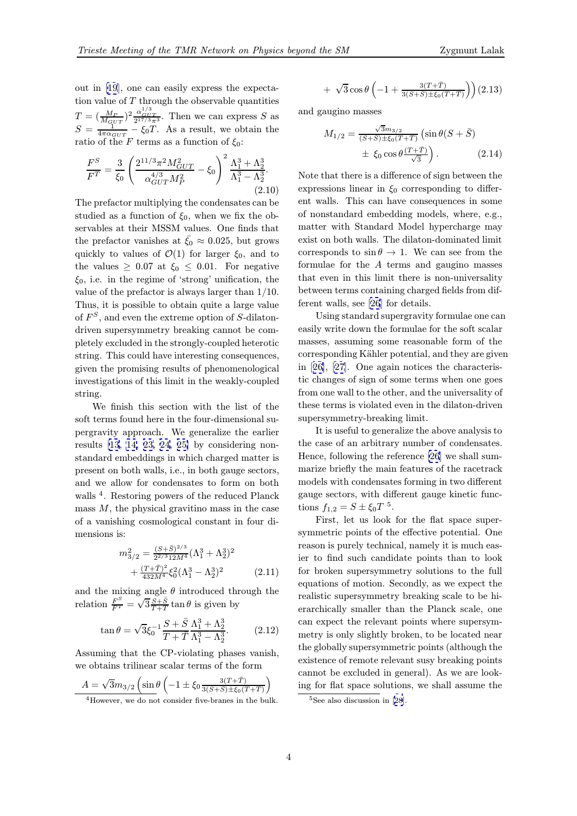out in [19], one can easily express the expectation value of  $T$  through the observable quantities  $T = (\frac{M_P}{M_{GUT}})^2 \frac{\alpha_{GUT}^{1/3}}{2^{17/3}\pi^3}$ . Then we can express S as  $S = \frac{1}{4\pi\alpha_{GUT}} - \xi_0 T$ . As a result, we obtain the ratio of [th](#page-7-0)e F terms as a function of  $\xi_0$ :

$$
\frac{F^S}{F^T} = \frac{3}{\xi_0} \left( \frac{2^{11/3} \pi^2 M_{GUT}^2}{\alpha_{GUT}^{4/3} M_P^2} - \xi_0 \right)^2 \frac{\Lambda_1^3 + \Lambda_2^3}{\Lambda_1^3 - \Lambda_2^3}.
$$
\n(2.10)

The prefactor multiplying the condensates can be studied as a function of  $\xi_0$ , when we fix the observables at their MSSM values. One finds that the prefactor vanishes at  $\bar{\xi}_0 \approx 0.025$ , but grows quickly to values of  $\mathcal{O}(1)$  for larger  $\xi_0$ , and to the values  $\geq 0.07$  at  $\xi_0 \leq 0.01$ . For negative  $\xi_0$ , i.e. in the regime of 'strong' unification, the value of the prefactor is always larger than 1/10. Thus, it is possible to obtain quite a large value of  $F^S$ , and even the extreme option of S-dilatondriven supersymmetry breaking cannot be completely excluded in the strongly-coupled heterotic string. This could have interesting consequences, given the promising results of phenomenological investigations of this limit in the weakly-coupled string.

We finish this section with the list of the soft terms found here in the four-dimensional supergravity approach. We generalize the earlier results [13, 14, 23, 24, 25] by considering nonstandard embeddings in which charged matter is present on both walls, i.e., in both gauge sectors, and we allow for condensates to form on both walls <sup>4</sup>. [Re](#page-7-0)s[tor](#page-7-0)i[ng](#page-7-0) p[ow](#page-7-0)e[rs o](#page-7-0)f the reduced Planck mass  $M$ , the physical gravitino mass in the case of a vanishing cosmological constant in four dimensions is:

$$
m_{3/2}^2 = \frac{(S + \bar{S})^{2/3}}{2^{2/3} 12 M^4} (\Lambda_1^3 + \Lambda_2^3)^2 + \frac{(T + \bar{T})^2}{432 M^4} \xi_0^2 (\Lambda_1^3 - \Lambda_2^3)^2
$$
 (2.11)

and the mixing angle  $\theta$  introduced through the relation  $\frac{F^S}{F^T} = \sqrt{3} \frac{S + \bar{S}}{T + \bar{T}} \tan \theta$  is given by

$$
\tan \theta = \sqrt{3}\xi_0^{-1} \frac{S + \bar{S}}{T + \bar{T}} \frac{\Lambda_1^3 + \Lambda_2^3}{\Lambda_1^3 - \Lambda_2^3}.
$$
 (2.12)

Assuming that the CP-violating phases vanish, we obtains trilinear scalar terms of the form

$$
A = \sqrt{3}m_{3/2} \left( \sin \theta \left( -1 \pm \xi_0 \frac{3(T+\bar{T})}{3(S+\bar{S}) \pm \xi_0 (T+\bar{T})} \right) \right)
$$

$$
+\sqrt{3}\cos\theta\left(-1+\frac{3(T+\bar{T})}{3(S+\bar{S})\pm\xi_0(T+\bar{T})}\right)(2.13)
$$

and gaugino masses

$$
M_{1/2} = \frac{\sqrt{3}m_{3/2}}{(S+S)\pm\xi_0(T+T)} \left(\sin\theta(S+\bar{S})\right)
$$
  
 
$$
\pm \xi_0 \cos\theta \frac{(T+\bar{T})}{\sqrt{3}}.
$$
 (2.14)

Note that there is a difference of sign between the expressions linear in  $\xi_0$  corresponding to different walls. This can have consequences in some of nonstandard embedding models, where, e.g., matter with Standard Model hypercharge may exist on both walls. The dilaton-dominated limit corresponds to  $\sin \theta \to 1$ . We can see from the formulae for the A terms and gaugino masses that even in this limit there is non-universality between terms containing charged fields from different walls, see [26] for details.

Using standard supergravity formulae one can easily write down the formulae for the soft scalar masses, assuming some reasonable form of the corresponding Kähler potential, and they are given in [26], [27]. One again notices the characteristic changes of sign of some terms when one goes from one wall to the other, and the universality of these terms is violated even in the dilaton-driven sup[ers](#page-7-0)y[mm](#page-7-0)etry-breaking limit.

It is useful to generalize the above analysis to the case of an arbitrary number of condensates. Hence, following the reference [26] we shall summarize briefly the main features of the racetrack models with condensates forming in two different gauge sectors, with different g[aug](#page-7-0)e kinetic functions  $f_{1,2} = S \pm \xi_0 T^{-5}$ .

First, let us look for the flat space supersymmetric points of the effective potential. One reason is purely technical, namely it is much easier to find such candidate points than to look for broken supersymmetry solutions to the full equations of motion. Secondly, as we expect the realistic supersymmetry breaking scale to be hierarchically smaller than the Planck scale, one can expect the relevant points where supersymmetry is only slightly broken, to be located near the globally supersymmetric points (although the existence of remote relevant susy breaking points cannot be excluded in general). As we are looking for flat space solutions, we shall assume the

<sup>4</sup>However, we do not consider five-branes in the bulk.

<sup>&</sup>lt;sup>5</sup>See also discussion in [28].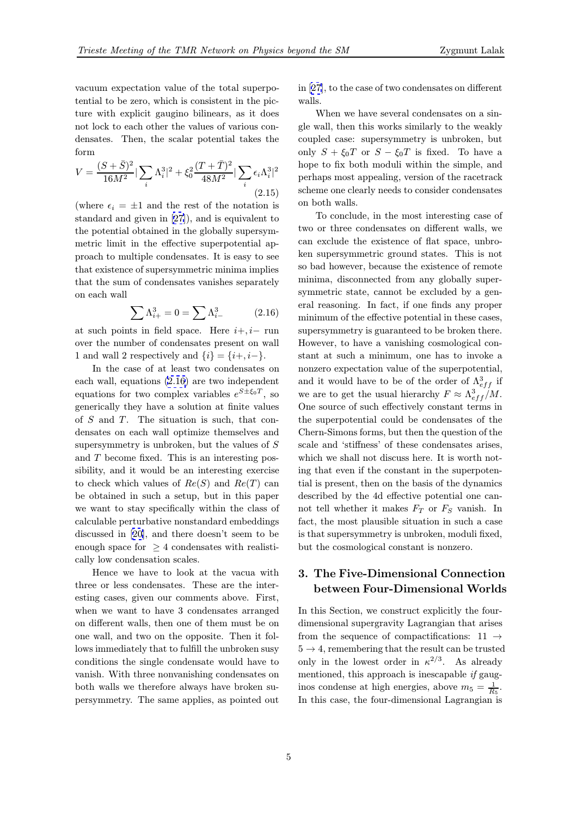vacuum expectation value of the total superpotential to be zero, which is consistent in the picture with explicit gaugino bilinears, as it does not lock to each other the values of various condensates. Then, the scalar potential takes the form

$$
V = \frac{(S + \bar{S})^2}{16M^2} |\sum_{i} \Lambda_i^3|^2 + \xi_0^2 \frac{(T + \bar{T})^2}{48M^2} |\sum_{i} \epsilon_i \Lambda_i^3|^2
$$
\n(2.15)

(where  $\epsilon_i = \pm 1$  and the rest of the notation is standard and given in [27]), and is equivalent to the potential obtained in the globally supersymmetric limit in the effective superpotential approach to multiple condensates. It is easy to see that existence of supers[ym](#page-7-0)metric minima implies that the sum of condensates vanishes separately on each wall

$$
\sum \Lambda_{i+}^3 = 0 = \sum \Lambda_{i-}^3 \tag{2.16}
$$

at such points in field space. Here  $i+, i-$  run over the number of condensates present on wall 1 and wall 2 respectively and  $\{i\} = \{i+, i-\}.$ 

In the case of at least two condensates on each wall, equations (2.16) are two independent equations for two complex variables  $e^{S \pm \xi_0 T}$ , so generically they have a solution at finite values of  $S$  and  $T$ . The situation is such, that condensates on each wall optimize themselves and supersymmetry is unbroken, but the values of S and T become fixed. This is an interesting possibility, and it would be an interesting exercise to check which values of  $Re(S)$  and  $Re(T)$  can be obtained in such a setup, but in this paper we want to stay specifically within the class of calculable perturbative nonstandard embeddings discussed in [20], and there doesn't seem to be enough space for  $\geq 4$  condensates with realistically low condensation scales.

Hence we have to look at the vacua with three or less [con](#page-7-0)densates. These are the interesting cases, given our comments above. First, when we want to have 3 condensates arranged on different walls, then one of them must be on one wall, and two on the opposite. Then it follows immediately that to fulfill the unbroken susy conditions the single condensate would have to vanish. With three nonvanishing condensates on both walls we therefore always have broken supersymmetry. The same applies, as pointed out in [27], to the case of two condensates on different walls.

When we have several condensates on a single wall, then this works similarly to the weakly co[uple](#page-7-0)d case: supersymmetry is unbroken, but only  $S + \xi_0 T$  or  $S - \xi_0 T$  is fixed. To have a hope to fix both moduli within the simple, and perhaps most appealing, version of the racetrack scheme one clearly needs to consider condensates on both walls.

To conclude, in the most interesting case of two or three condensates on different walls, we can exclude the existence of flat space, unbroken supersymmetric ground states. This is not so bad however, because the existence of remote minima, disconnected from any globally supersymmetric state, cannot be excluded by a general reasoning. In fact, if one finds any proper minimum of the effective potential in these cases, supersymmetry is guaranteed to be broken there. However, to have a vanishing cosmological constant at such a minimum, one has to invoke a nonzero expectation value of the superpotential, and it would have to be of the order of  $\Lambda_{eff}^3$  if we are to get the usual hierarchy  $F \approx \Lambda_{eff}^3/M$ . One source of such effectively constant terms in the superpotential could be condensates of the Chern-Simons forms, but then the question of the scale and 'stiffness' of these condensates arises, which we shall not discuss here. It is worth noting that even if the constant in the superpotential is present, then on the basis of the dynamics described by the 4d effective potential one cannot tell whether it makes  $F_T$  or  $F_S$  vanish. In fact, the most plausible situation in such a case is that supersymmetry is unbroken, moduli fixed, but the cosmological constant is nonzero.

## 3. The Five-Dimensional Connection between Four-Dimensional Worlds

In this Section, we construct explicitly the fourdimensional supergravity Lagrangian that arises from the sequence of compactifications:  $11 \rightarrow$  $5 \rightarrow 4$ , remembering that the result can be trusted only in the lowest order in  $\kappa^{2/3}$ . As already mentioned, this approach is inescapable if gauginos condense at high energies, above  $m_5 = \frac{1}{R_5}$ . In this case, the four-dimensional Lagrangian is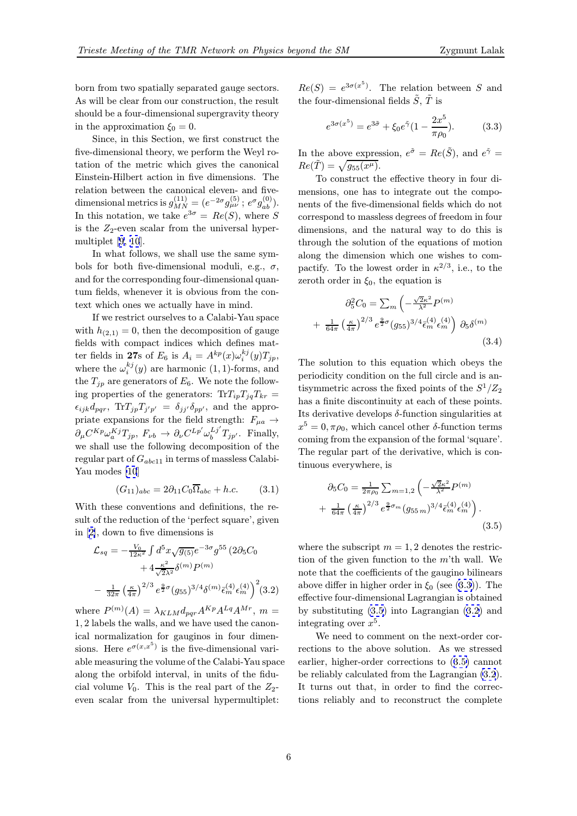<span id="page-5-0"></span>born from two spatially separated gauge sectors. As will be clear from our construction, the result should be a four-dimensional supergravity theory in the approximation  $\xi_0 = 0$ .

Since, in this Section, we first construct the five-dimensional theory, we perform the Weyl rotation of the metric which gives the canonical Einstein-Hilbert action in five dimensions. The relation between the canonical eleven- and fivedimensional metrics is  $g_{MN}^{(11)} = (e^{-2\sigma} g_{\mu\nu}^{(5)}; e^{\sigma} g_{ab}^{(0)}).$ In this notation, we take  $e^{3\sigma} = Re(S)$ , where S is the  $Z_2$ -even scalar from the universal hypermultiplet [9, 10].

In what follows, we shall use the same symbols for both five-dimensional moduli, e.g.,  $\sigma$ , and for the corresponding four-dimensional quantum fields[, whe](#page-7-0)never it is obvious from the context which ones we actually have in mind.

If we restrict ourselves to a Calabi-Yau space with  $h_{(2,1)} = 0$ , then the decomposition of gauge fields with compact indices which defines matter fields in 27s of  $E_6$  is  $A_i = A^{kp}(x)\omega_i^{kj}(y)T_{jp}$ , where the  $\omega_i^{kj}(y)$  are harmonic  $(1, 1)$ -forms, and the  $T_{jp}$  are generators of  $E_6$ . We note the following properties of the generators:  $Tr T_{ip}T_{jq}T_{kr} =$  $\epsilon_{ijk}d_{pqr}, \text{Tr}T_{jp}T_{j'p'} = \delta_{jj'}\delta_{pp'}, \text{ and the appro-}$ priate expansions for the field strength:  $F_{\mu a} \rightarrow$  $\partial_{\mu} C^{Kp} \omega_{a}^{Kj} T_{jp}, F_{\nu b} \to \partial_{\nu} C^{Lp'} \omega_{b}^{Lj'} T_{jp'}.$  Finally, we shall use the following decomposition of the regular part of  $G_{abc11}$  in terms of massless Calabi-Yau modes [10]

$$
(G_{11})_{abc} = 2\partial_{11}C_0 \overline{\Omega}_{abc} + h.c.
$$
 (3.1)

With these conventions and definitions, the result of the r[edu](#page-7-0)ction of the 'perfect square', given in [2], down to five dimensions is

$$
\mathcal{L}_{sq} = -\frac{V_0}{12\kappa^2} \int d^5 x \sqrt{g_{(5)}} e^{-3\sigma} g^{55} (2\partial_5 C_0 \n+ 4 \frac{\kappa^2}{\sqrt{2\lambda^2}} \delta^{(m)} P^{(m)} \n- \frac{1}{32\pi} \left(\frac{\kappa}{4\pi}\right)^{2/3} e^{\frac{9}{2}\sigma} (g_{55})^{3/4} \delta^{(m)} \bar{\epsilon}_m^{(4)} \epsilon_m^{(4)} \right)^2 (3.2)
$$

where  $P^{(m)}(A) = \lambda_{KLM} d_{pqr} A^{Kp} A^{Lq} A^{Mr}$ ,  $m =$ 1, 2 labels the walls, and we have used the canonical normalization for gauginos in four dimensions. Here  $e^{\sigma(x,x^5)}$  is the five-dimensional variable measuring the volume of the Calabi-Yau space along the orbifold interval, in units of the fiducial volume  $V_0$ . This is the real part of the  $Z_2$ even scalar from the universal hypermultiplet:

 $Re(S) = e^{3\sigma(x^5)}$ . The relation between S and the four-dimensional fields  $\tilde{S}$ ,  $\tilde{T}$  is

$$
e^{3\sigma(x^5)} = e^{3\tilde{\sigma}} + \xi_0 e^{\tilde{\gamma}} (1 - \frac{2x^5}{\pi \rho_0}).
$$
 (3.3)

In the above expression,  $e^{\tilde{\sigma}} = Re(\tilde{S})$ , and  $e^{\tilde{\gamma}} =$  $Re(\tilde{T}) = \sqrt{g_{55}(x^{\mu})}.$ 

To construct the effective theory in four dimensions, one has to integrate out the components of the five-dimensional fields which do not correspond to massless degrees of freedom in four dimensions, and the natural way to do this is through the solution of the equations of motion along the dimension which one wishes to compactify. To the lowest order in  $\kappa^{2/3}$ , i.e., to the zeroth order in  $\xi_0$ , the equation is

$$
\partial_5^2 C_0 = \sum_m \left( -\frac{\sqrt{2} \kappa^2}{\lambda^2} P^{(m)} \right)
$$
  
+ 
$$
\frac{1}{64\pi} \left( \frac{\kappa}{4\pi} \right)^{2/3} e^{\frac{9}{2}\sigma} (g_{55})^{3/4} \bar{\epsilon}_m^{(4)} \epsilon_m^{(4)} \right) \partial_5 \delta^{(m)}
$$
(3.4)

The solution to this equation which obeys the periodicity condition on the full circle and is antisymmetric across the fixed points of the  $S^1/Z_2$ has a finite discontinuity at each of these points. Its derivative develops  $\delta$ -function singularities at  $x^5 = 0, \pi \rho_0$ , which cancel other δ-function terms coming from the expansion of the formal 'square'. The regular part of the derivative, which is continuous everywhere, is

$$
\partial_5 C_0 = \frac{1}{2\pi \rho_0} \sum_{m=1,2} \left( -\frac{\sqrt{2} \kappa^2}{\lambda^2} P^{(m)} \right) + \frac{1}{64\pi} \left( \frac{\kappa}{4\pi} \right)^{2/3} e^{\frac{9}{2}\sigma_m} (g_{55\,m})^{3/4} \bar{\epsilon}_m^{(4)} \epsilon_m^{(4)} \right). \tag{3.5}
$$

where the subscript  $m = 1, 2$  denotes the restriction of the given function to the m'th wall. We note that the coefficients of the gaugino bilinears above differ in higher order in  $\xi_0$  (see (3.3)). The effective four-dimensional Lagrangian is obtained by substituting (3.5) into Lagrangian (3.2) and integrating over  $x^5$ .

We need to comment on the next-order corrections to the above solution. As we stressed earlier, higher-order corrections to (3.5) cannot be reliably calculated from the Lagrangian (3.2). It turns out that, in order to find the corrections reliably and to reconstruct the complete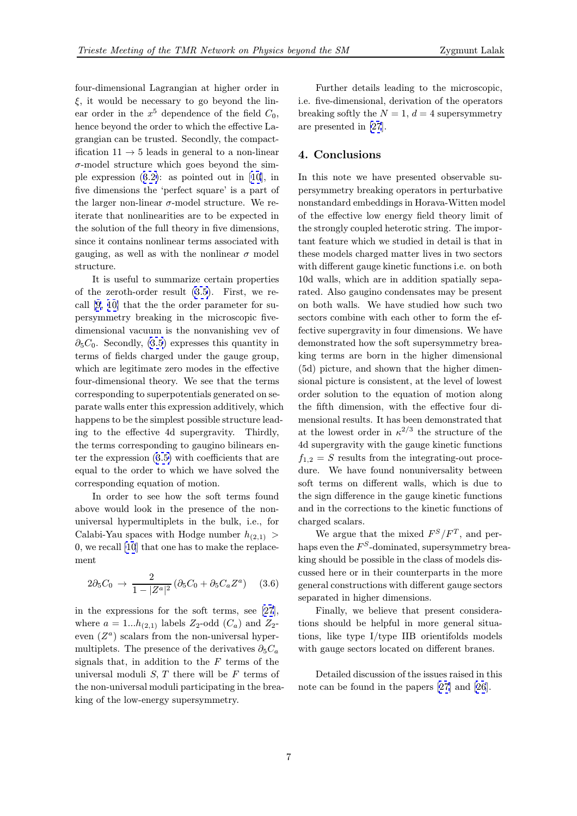four-dimensional Lagrangian at higher order in  $\xi$ , it would be necessary to go beyond the linear order in the  $x^5$  dependence of the field  $C_0$ , hence beyond the order to which the effective Lagrangian can be trusted. Secondly, the compactification  $11 \rightarrow 5$  leads in general to a non-linear  $\sigma$ -model structure which goes beyond the simple expression (3.2): as pointed out in [10], in five dimensions the 'perfect square' is a part of the larger non-linear  $\sigma$ -model structure. We reiterate that nonlinearities are to be expected in the solution of t[he f](#page-5-0)ull theory in five dime[nsi](#page-7-0)ons, since it contains nonlinear terms associated with gauging, as well as with the nonlinear  $\sigma$  model structure.

It is useful to summarize certain properties of the zeroth-order result (3.5). First, we recall [9, 10] that the the order parameter for supersymmetry breaking in the microscopic fivedimensional vacuum is the nonvanishing vev of  $\partial_5C_0$ . Secondly, (3.5) expre[sses](#page-5-0) this quantity in term[s](#page-7-0) [of fi](#page-7-0)elds charged under the gauge group, which are legitimate zero modes in the effective four-dimensional theory. We see that the terms corresponding to [supe](#page-5-0)rpotentials generated on separate walls enter this expression additively, which happens to be the simplest possible structure leading to the effective 4d supergravity. Thirdly, the terms corresponding to gaugino bilinears enter the expression (3.5) with coefficients that are equal to the order to which we have solved the corresponding equation of motion.

In order to see how the soft terms found above would look [in](#page-5-0) the presence of the nonuniversal hypermultiplets in the bulk, i.e., for Calabi-Yau spaces with Hodge number  $h_{(2,1)} >$ 0, we recall [10] that one has to make the replacement

$$
2\partial_5 C_0 \to \frac{2}{1 - |Z^a|^2} (\partial_5 C_0 + \partial_5 C_a Z^a) \quad (3.6)
$$

in the expressions for the soft terms, see [27], where  $a = 1...h_{(2,1)}$  labels  $Z_2$ -odd  $(C_a)$  and  $Z_2$ even  $(Z^a)$  scalars from the non-universal hypermultiplets. The presence of the derivatives  $\partial_5 C_a$ signals [th](#page-7-0)at, in addition to the  $F$  terms of the universal moduli  $S, T$  there will be  $F$  terms of the non-universal moduli participating in the breaking of the low-energy supersymmetry.

Further details leading to the microscopic, i.e. five-dimensional, derivation of the operators breaking softly the  $N = 1$ ,  $d = 4$  supersymmetry are presented in [27].

## 4. Conclusions

In this note we [ha](#page-7-0)ve presented observable supersymmetry breaking operators in perturbative nonstandard embeddings in Horava-Witten model of the effective low energy field theory limit of the strongly coupled heterotic string. The important feature which we studied in detail is that in these models charged matter lives in two sectors with different gauge kinetic functions i.e. on both 10d walls, which are in addition spatially separated. Also gaugino condensates may be present on both walls. We have studied how such two sectors combine with each other to form the effective supergravity in four dimensions. We have demonstrated how the soft supersymmetry breaking terms are born in the higher dimensional (5d) picture, and shown that the higher dimensional picture is consistent, at the level of lowest order solution to the equation of motion along the fifth dimension, with the effective four dimensional results. It has been demonstrated that at the lowest order in  $\kappa^{2/3}$  the structure of the 4d supergravity with the gauge kinetic functions  $f_{1,2} = S$  results from the integrating-out procedure. We have found nonuniversality between soft terms on different walls, which is due to the sign difference in the gauge kinetic functions and in the corrections to the kinetic functions of charged scalars.

We argue that the mixed  $F^S/F^T$ , and perhaps even the  $F^S$ -dominated, supersymmetry breaking should be possible in the class of models discussed here or in their counterparts in the more general constructions with different gauge sectors separated in higher dimensions.

Finally, we believe that present considerations should be helpful in more general situations, like type I/type IIB orientifolds models with gauge sectors located on different branes.

Detailed discussion of the issues raised in this note can be found in the papers [27] and [26].